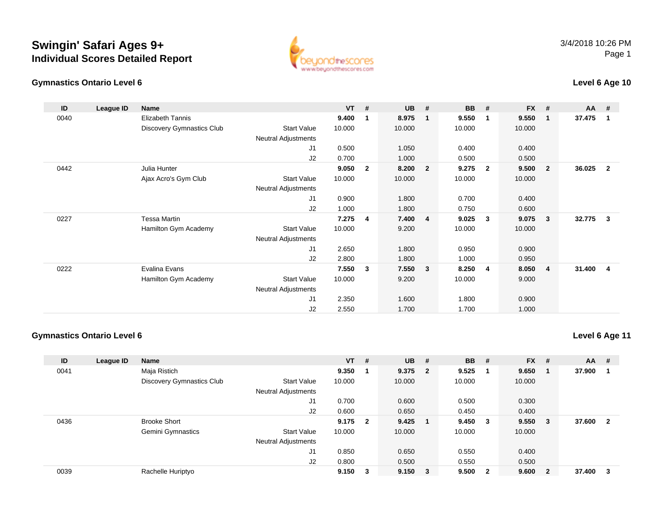



### **Level 6 Age 10**

| ID   | League ID | Name                             |                            | $VT$ # |              | <b>UB</b> | #              | <b>BB</b> | #                       | FX #   |                         | $AA$ # |                         |
|------|-----------|----------------------------------|----------------------------|--------|--------------|-----------|----------------|-----------|-------------------------|--------|-------------------------|--------|-------------------------|
| 0040 |           | <b>Elizabeth Tannis</b>          |                            | 9.400  | 1            | 8.975     | $\mathbf{1}$   | 9.550     | $\mathbf 1$             | 9.550  | - 1                     | 37.475 | $\overline{1}$          |
|      |           | <b>Discovery Gymnastics Club</b> | <b>Start Value</b>         | 10.000 |              | 10.000    |                | 10.000    |                         | 10.000 |                         |        |                         |
|      |           |                                  | Neutral Adjustments        |        |              |           |                |           |                         |        |                         |        |                         |
|      |           |                                  | J1                         | 0.500  |              | 1.050     |                | 0.400     |                         | 0.400  |                         |        |                         |
|      |           |                                  | J2                         | 0.700  |              | 1.000     |                | 0.500     |                         | 0.500  |                         |        |                         |
| 0442 |           | Julia Hunter                     |                            | 9.050  | $\mathbf{2}$ | 8.200     | $\overline{2}$ | 9.275     | $\overline{\mathbf{2}}$ | 9.500  | $\overline{\mathbf{2}}$ | 36.025 | $\overline{\mathbf{2}}$ |
|      |           | Ajax Acro's Gym Club             | <b>Start Value</b>         | 10.000 |              | 10.000    |                | 10.000    |                         | 10.000 |                         |        |                         |
|      |           |                                  | Neutral Adjustments        |        |              |           |                |           |                         |        |                         |        |                         |
|      |           |                                  | J1                         | 0.900  |              | 1.800     |                | 0.700     |                         | 0.400  |                         |        |                         |
|      |           |                                  | J2                         | 1.000  |              | 1.800     |                | 0.750     |                         | 0.600  |                         |        |                         |
| 0227 |           | Tessa Martin                     |                            | 7.275  | 4            | 7.400     | 4              | 9.025     | 3                       | 9.075  | $\mathbf{3}$            | 32.775 | $\mathbf{3}$            |
|      |           | Hamilton Gym Academy             | <b>Start Value</b>         | 10.000 |              | 9.200     |                | 10.000    |                         | 10.000 |                         |        |                         |
|      |           |                                  | <b>Neutral Adjustments</b> |        |              |           |                |           |                         |        |                         |        |                         |
|      |           |                                  | J1                         | 2.650  |              | 1.800     |                | 0.950     |                         | 0.900  |                         |        |                         |
|      |           |                                  | J2                         | 2.800  |              | 1.800     |                | 1.000     |                         | 0.950  |                         |        |                         |
| 0222 |           | Evalina Evans                    |                            | 7.550  | 3            | 7.550     | 3              | 8.250     | 4                       | 8.050  | $\overline{4}$          | 31.400 | -4                      |
|      |           | Hamilton Gym Academy             | <b>Start Value</b>         | 10.000 |              | 9.200     |                | 10.000    |                         | 9.000  |                         |        |                         |
|      |           |                                  | <b>Neutral Adjustments</b> |        |              |           |                |           |                         |        |                         |        |                         |
|      |           |                                  | J1                         | 2.350  |              | 1.600     |                | 1.800     |                         | 0.900  |                         |        |                         |
|      |           |                                  | J2                         | 2.550  |              | 1.700     |                | 1.700     |                         | 1.000  |                         |        |                         |

#### **Gymnastics Ontario Level 6**

**Level 6 Age 11**

| ID   | League ID | <b>Name</b>               |                            | $VT$ #  |   | <b>UB</b>   | - #                     | <b>BB</b> | - #                     | $FX$ # |                         | <b>AA</b> | #                       |
|------|-----------|---------------------------|----------------------------|---------|---|-------------|-------------------------|-----------|-------------------------|--------|-------------------------|-----------|-------------------------|
| 0041 |           | Maja Ristich              |                            | 9.350   |   | 9.375       | $\overline{\mathbf{2}}$ | 9.525     |                         | 9.650  |                         | 37.900    |                         |
|      |           | Discovery Gymnastics Club | <b>Start Value</b>         | 10.000  |   | 10.000      |                         | 10.000    |                         | 10.000 |                         |           |                         |
|      |           |                           | <b>Neutral Adjustments</b> |         |   |             |                         |           |                         |        |                         |           |                         |
|      |           |                           | J1                         | 0.700   |   | 0.600       |                         | 0.500     |                         | 0.300  |                         |           |                         |
|      |           |                           | J <sub>2</sub>             | 0.600   |   | 0.650       |                         | 0.450     |                         | 0.400  |                         |           |                         |
| 0436 |           | <b>Brooke Short</b>       |                            | 9.175 2 |   | 9.425       |                         | 9.450     | - 3                     | 9.550  | $_{3}$                  | 37.600    | $\overline{\mathbf{2}}$ |
|      |           | <b>Gemini Gymnastics</b>  | <b>Start Value</b>         | 10.000  |   | 10.000      |                         | 10.000    |                         | 10.000 |                         |           |                         |
|      |           |                           | <b>Neutral Adjustments</b> |         |   |             |                         |           |                         |        |                         |           |                         |
|      |           |                           | J1                         | 0.850   |   | 0.650       |                         | 0.550     |                         | 0.400  |                         |           |                         |
|      |           |                           | J2                         | 0.800   |   | 0.500       |                         | 0.550     |                         | 0.500  |                         |           |                         |
| 0039 |           | Rachelle Huriptyo         |                            | 9.150   | 3 | $9.150 \t3$ |                         | 9.500     | $\overline{\mathbf{2}}$ | 9.600  | $\overline{\mathbf{2}}$ | 37.400    | - 3                     |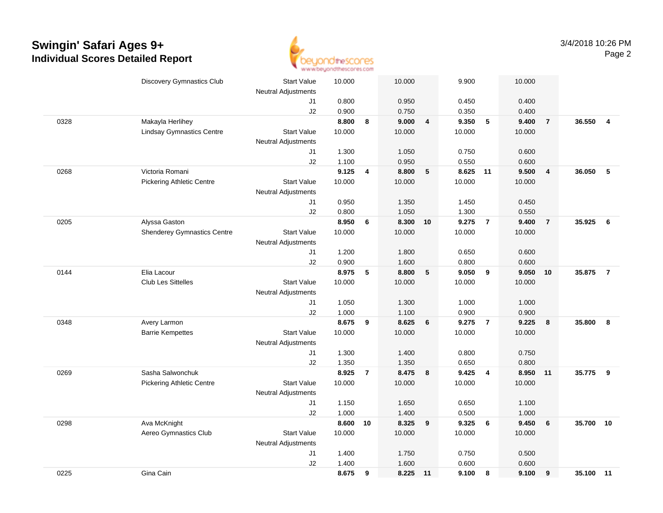

|      | <b>Discovery Gymnastics Club</b>   | <b>Start Value</b>         | 10.000 |                | 10.000   |                | 9.900  |                 | 10.000 |                         |           |                         |
|------|------------------------------------|----------------------------|--------|----------------|----------|----------------|--------|-----------------|--------|-------------------------|-----------|-------------------------|
|      |                                    | <b>Neutral Adjustments</b> |        |                |          |                |        |                 |        |                         |           |                         |
|      |                                    | J1                         | 0.800  |                | 0.950    |                | 0.450  |                 | 0.400  |                         |           |                         |
|      |                                    | J2                         | 0.900  |                | 0.750    |                | 0.350  |                 | 0.400  |                         |           |                         |
| 0328 | Makayla Herlihey                   |                            | 8.800  | 8              | 9.000    | $\overline{4}$ | 9.350  | $\sqrt{5}$      | 9.400  | $\overline{7}$          | 36.550    | $\overline{\mathbf{4}}$ |
|      | <b>Lindsay Gymnastics Centre</b>   | <b>Start Value</b>         | 10.000 |                | 10.000   |                | 10.000 |                 | 10.000 |                         |           |                         |
|      |                                    | <b>Neutral Adjustments</b> |        |                |          |                |        |                 |        |                         |           |                         |
|      |                                    | J1                         | 1.300  |                | 1.050    |                | 0.750  |                 | 0.600  |                         |           |                         |
|      |                                    | J2                         | 1.100  |                | 0.950    |                | 0.550  |                 | 0.600  |                         |           |                         |
| 0268 | Victoria Romani                    |                            | 9.125  | 4              | 8.800    | 5              | 8.625  | 11              | 9.500  | $\overline{\mathbf{4}}$ | 36.050    | 5                       |
|      | <b>Pickering Athletic Centre</b>   | <b>Start Value</b>         | 10.000 |                | 10.000   |                | 10.000 |                 | 10.000 |                         |           |                         |
|      |                                    | <b>Neutral Adjustments</b> |        |                |          |                |        |                 |        |                         |           |                         |
|      |                                    | J1                         | 0.950  |                | 1.350    |                | 1.450  |                 | 0.450  |                         |           |                         |
|      |                                    | J2                         | 0.800  |                | 1.050    |                | 1.300  |                 | 0.550  |                         |           |                         |
| 0205 | Alyssa Gaston                      |                            | 8.950  | 6              | 8.300 10 |                | 9.275  | $\overline{7}$  | 9.400  | $\overline{7}$          | 35.925    | 6                       |
|      | <b>Shenderey Gymnastics Centre</b> | <b>Start Value</b>         | 10.000 |                | 10.000   |                | 10.000 |                 | 10.000 |                         |           |                         |
|      |                                    | <b>Neutral Adjustments</b> |        |                |          |                |        |                 |        |                         |           |                         |
|      |                                    | J1                         | 1.200  |                | 1.800    |                | 0.650  |                 | 0.600  |                         |           |                         |
|      |                                    | J2                         | 0.900  |                | 1.600    |                | 0.800  |                 | 0.600  |                         |           |                         |
| 0144 | Elia Lacour                        |                            | 8.975  | 5              | 8.800    | 5              | 9.050  | 9               | 9.050  | 10                      | 35.875    | $\overline{7}$          |
|      | <b>Club Les Sittelles</b>          | <b>Start Value</b>         | 10.000 |                | 10.000   |                | 10.000 |                 | 10.000 |                         |           |                         |
|      |                                    | <b>Neutral Adjustments</b> |        |                |          |                |        |                 |        |                         |           |                         |
|      |                                    | J1                         | 1.050  |                | 1.300    |                | 1.000  |                 | 1.000  |                         |           |                         |
|      |                                    | J2                         | 1.000  |                | 1.100    |                | 0.900  |                 | 0.900  |                         |           |                         |
| 0348 | Avery Larmon                       |                            | 8.675  | 9              | 8.625    | 6              | 9.275  | $\overline{7}$  | 9.225  | 8                       | 35.800    | 8                       |
|      | <b>Barrie Kempettes</b>            | <b>Start Value</b>         | 10.000 |                | 10.000   |                | 10.000 |                 | 10.000 |                         |           |                         |
|      |                                    | <b>Neutral Adjustments</b> |        |                |          |                |        |                 |        |                         |           |                         |
|      |                                    | J1                         | 1.300  |                | 1.400    |                | 0.800  |                 | 0.750  |                         |           |                         |
|      |                                    | J2                         | 1.350  |                | 1.350    |                | 0.650  |                 | 0.800  |                         |           |                         |
| 0269 | Sasha Salwonchuk                   |                            | 8.925  | $\overline{7}$ | 8.475    | 8              | 9.425  | $\overline{4}$  | 8.950  | 11                      | 35.775    | - 9                     |
|      | <b>Pickering Athletic Centre</b>   | <b>Start Value</b>         | 10.000 |                | 10.000   |                | 10.000 |                 | 10.000 |                         |           |                         |
|      |                                    | <b>Neutral Adjustments</b> |        |                |          |                |        |                 |        |                         |           |                         |
|      |                                    | J1                         | 1.150  |                | 1.650    |                | 0.650  |                 | 1.100  |                         |           |                         |
|      |                                    | J2                         | 1.000  |                | 1.400    |                | 0.500  |                 | 1.000  |                         |           |                         |
| 0298 | Ava McKnight                       |                            | 8.600  | 10             | 8.325    | 9              | 9.325  | $6\phantom{1}6$ | 9.450  | $6\phantom{1}6$         | 35.700    | 10                      |
|      | Aereo Gymnastics Club              | <b>Start Value</b>         | 10.000 |                | 10.000   |                | 10.000 |                 | 10.000 |                         |           |                         |
|      |                                    | Neutral Adjustments        |        |                |          |                |        |                 |        |                         |           |                         |
|      |                                    | J1                         | 1.400  |                | 1.750    |                | 0.750  |                 | 0.500  |                         |           |                         |
|      |                                    | J2                         | 1.400  |                | 1.600    |                | 0.600  |                 | 0.600  |                         |           |                         |
| 0225 | Gina Cain                          |                            | 8.675  | 9              | 8.225 11 |                | 9.100  | 8               | 9.100  | 9                       | 35.100 11 |                         |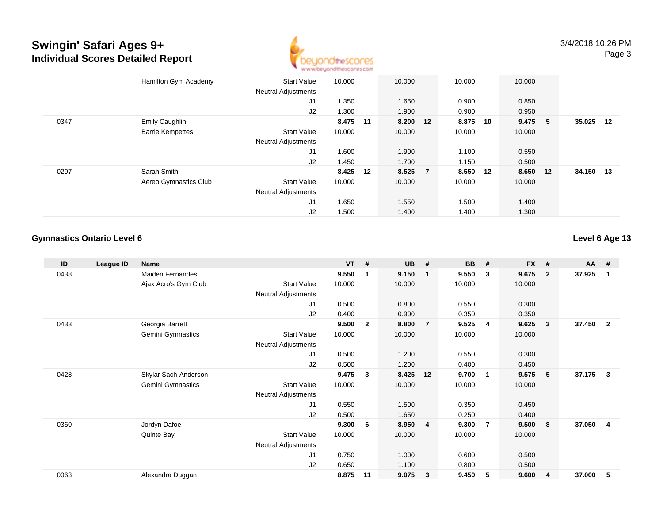

|      | Hamilton Gym Academy    | <b>Start Value</b><br><b>Neutral Adjustments</b> | 10.000   | 10.000   | 10.000   |    | 10.000   |           |    |
|------|-------------------------|--------------------------------------------------|----------|----------|----------|----|----------|-----------|----|
|      |                         | J1                                               | 1.350    | 1.650    | 0.900    |    | 0.850    |           |    |
|      |                         | J2                                               | 1.300    | 1.900    | 0.900    |    | 0.950    |           |    |
| 0347 | Emily Caughlin          |                                                  | 8.475 11 | 8.200 12 | 8.875    | 10 | 9.475 5  | 35.025    | 12 |
|      | <b>Barrie Kempettes</b> | <b>Start Value</b>                               | 10.000   | 10.000   | 10.000   |    | 10.000   |           |    |
|      |                         | <b>Neutral Adjustments</b>                       |          |          |          |    |          |           |    |
|      |                         | J1                                               | 1.600    | 1.900    | 1.100    |    | 0.550    |           |    |
|      |                         | J2                                               | 1.450    | 1.700    | 1.150    |    | 0.500    |           |    |
| 0297 | Sarah Smith             |                                                  | 8.425 12 | 8.525 7  | 8.550 12 |    | 8.650 12 | 34.150 13 |    |
|      | Aereo Gymnastics Club   | <b>Start Value</b>                               | 10.000   | 10.000   | 10.000   |    | 10.000   |           |    |
|      |                         | <b>Neutral Adjustments</b>                       |          |          |          |    |          |           |    |
|      |                         | J <sub>1</sub>                                   | 1.650    | 1.550    | 1.500    |    | 1.400    |           |    |
|      |                         | J2                                               | 1.500    | 1.400    | 1.400    |    | 1.300    |           |    |

### **Gymnastics Ontario Level 6**

### **Level 6 Age 13**

| ID   | League ID | <b>Name</b>              |                            | $VT$ # |                | <b>UB</b> | #              | <b>BB</b> | #  | <b>FX</b> | #              | <b>AA</b> | #              |
|------|-----------|--------------------------|----------------------------|--------|----------------|-----------|----------------|-----------|----|-----------|----------------|-----------|----------------|
| 0438 |           | <b>Maiden Fernandes</b>  |                            | 9.550  | 1              | 9.150     | $\mathbf 1$    | 9.550     | 3  | 9.675     | $\overline{2}$ | 37.925    | -1             |
|      |           | Ajax Acro's Gym Club     | <b>Start Value</b>         | 10.000 |                | 10.000    |                | 10.000    |    | 10.000    |                |           |                |
|      |           |                          | <b>Neutral Adjustments</b> |        |                |           |                |           |    |           |                |           |                |
|      |           |                          | J1                         | 0.500  |                | 0.800     |                | 0.550     |    | 0.300     |                |           |                |
|      |           |                          | J2                         | 0.400  |                | 0.900     |                | 0.350     |    | 0.350     |                |           |                |
| 0433 |           | Georgia Barrett          |                            | 9.500  | $\overline{2}$ | 8.800     | $\overline{7}$ | 9.525     | -4 | 9.625     | 3              | 37.450    | $\overline{2}$ |
|      |           | <b>Gemini Gymnastics</b> | <b>Start Value</b>         | 10.000 |                | 10.000    |                | 10.000    |    | 10.000    |                |           |                |
|      |           |                          | Neutral Adjustments        |        |                |           |                |           |    |           |                |           |                |
|      |           |                          | J1                         | 0.500  |                | 1.200     |                | 0.550     |    | 0.300     |                |           |                |
|      |           |                          | J2                         | 0.500  |                | 1.200     |                | 0.400     |    | 0.450     |                |           |                |
| 0428 |           | Skylar Sach-Anderson     |                            | 9.475  | 3              | 8.425     | 12             | 9.700     | -1 | 9.575     | 5              | 37.175    | 3              |
|      |           | Gemini Gymnastics        | <b>Start Value</b>         | 10.000 |                | 10.000    |                | 10.000    |    | 10.000    |                |           |                |
|      |           |                          | Neutral Adjustments        |        |                |           |                |           |    |           |                |           |                |
|      |           |                          | J1                         | 0.550  |                | 1.500     |                | 0.350     |    | 0.450     |                |           |                |
|      |           |                          | J <sub>2</sub>             | 0.500  |                | 1.650     |                | 0.250     |    | 0.400     |                |           |                |
| 0360 |           | Jordyn Dafoe             |                            | 9.300  | 6              | 8.950     | $\overline{4}$ | 9.300     | 7  | 9.500     | 8              | 37.050    | 4              |
|      |           | Quinte Bay               | <b>Start Value</b>         | 10.000 |                | 10.000    |                | 10.000    |    | 10.000    |                |           |                |
|      |           |                          | <b>Neutral Adjustments</b> |        |                |           |                |           |    |           |                |           |                |
|      |           |                          | J1                         | 0.750  |                | 1.000     |                | 0.600     |    | 0.500     |                |           |                |
|      |           |                          | J2                         | 0.650  |                | 1.100     |                | 0.800     |    | 0.500     |                |           |                |
| 0063 |           | Alexandra Duggan         |                            | 8.875  | 11             | 9.075     | 3              | 9.450     | 5  | 9.600     | 4              | 37.000    | 5              |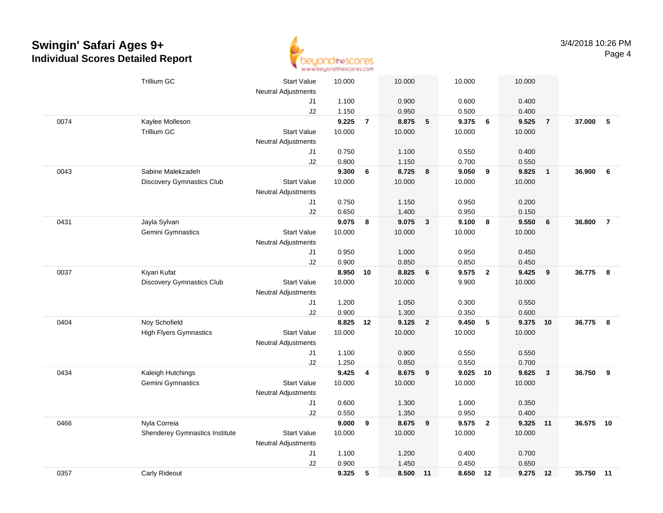

|      | <b>Trillium GC</b>               | <b>Start Value</b>         | 10.000 |                | 10.000 |                  | 10.000     |                | 10.000   |                         |           |                |
|------|----------------------------------|----------------------------|--------|----------------|--------|------------------|------------|----------------|----------|-------------------------|-----------|----------------|
|      |                                  | <b>Neutral Adjustments</b> |        |                |        |                  |            |                |          |                         |           |                |
|      |                                  | J1                         | 1.100  |                | 0.900  |                  | 0.600      |                | 0.400    |                         |           |                |
|      |                                  | J2                         | 1.150  |                | 0.950  |                  | 0.500      |                | 0.400    |                         |           |                |
| 0074 | Kaylee Molleson                  |                            | 9.225  | $\overline{7}$ | 8.875  | $\sqrt{5}$       | 9.375      | $6\phantom{a}$ | 9.525    | $\overline{7}$          | 37.000    | - 5            |
|      | <b>Trillium GC</b>               | <b>Start Value</b>         | 10.000 |                | 10.000 |                  | 10.000     |                | 10.000   |                         |           |                |
|      |                                  | <b>Neutral Adjustments</b> |        |                |        |                  |            |                |          |                         |           |                |
|      |                                  | J1                         | 0.750  |                | 1.100  |                  | 0.550      |                | 0.400    |                         |           |                |
|      |                                  | J2                         | 0.800  |                | 1.150  |                  | 0.700      |                | 0.550    |                         |           |                |
| 0043 | Sabine Malekzadeh                |                            | 9.300  | 6              | 8.725  | 8                | 9.050      | 9              | 9.825    | $\overline{\mathbf{1}}$ | 36.900    | - 6            |
|      | <b>Discovery Gymnastics Club</b> | <b>Start Value</b>         | 10.000 |                | 10.000 |                  | 10.000     |                | 10.000   |                         |           |                |
|      |                                  | Neutral Adjustments        |        |                |        |                  |            |                |          |                         |           |                |
|      |                                  | J1                         | 0.750  |                | 1.150  |                  | 0.950      |                | 0.200    |                         |           |                |
|      |                                  | J2                         | 0.650  |                | 1.400  |                  | 0.950      |                | 0.150    |                         |           |                |
| 0431 | Jayla Sylvan                     |                            | 9.075  | 8              | 9.075  | $\mathbf{3}$     | 9.100      | 8              | 9.550    | 6                       | 36.800    | $\overline{7}$ |
|      | Gemini Gymnastics                | <b>Start Value</b>         | 10.000 |                | 10.000 |                  | 10.000     |                | 10.000   |                         |           |                |
|      |                                  | Neutral Adjustments        |        |                |        |                  |            |                |          |                         |           |                |
|      |                                  | J1                         | 0.950  |                | 1.000  |                  | 0.950      |                | 0.450    |                         |           |                |
|      |                                  | J2                         | 0.900  |                | 0.850  |                  | 0.850      |                | 0.450    |                         |           |                |
| 0037 | Kiyari Kufat                     |                            | 8.950  | 10             | 8.825  | 6                | 9.575      | $\overline{2}$ | 9.425    | $\overline{\mathbf{9}}$ | 36.775    | 8              |
|      | <b>Discovery Gymnastics Club</b> | <b>Start Value</b>         | 10.000 |                | 10.000 |                  | 9.900      |                | 10.000   |                         |           |                |
|      |                                  | <b>Neutral Adjustments</b> |        |                |        |                  |            |                |          |                         |           |                |
|      |                                  | J1                         | 1.200  |                | 1.050  |                  | 0.300      |                | 0.550    |                         |           |                |
|      |                                  | J2                         | 0.900  |                | 1.300  |                  | 0.350      |                | 0.600    |                         |           |                |
| 0404 | Noy Schofield                    |                            | 8.825  | -12            | 9.125  | $\overline{2}$   | 9.450      | 5              | 9.375    | 10                      | 36.775    | 8              |
|      | <b>High Flyers Gymnastics</b>    | <b>Start Value</b>         | 10.000 |                | 10.000 |                  | 10.000     |                | 10.000   |                         |           |                |
|      |                                  | Neutral Adjustments        |        |                |        |                  |            |                |          |                         |           |                |
|      |                                  | J1                         | 1.100  |                | 0.900  |                  | 0.550      |                | 0.550    |                         |           |                |
|      |                                  | J2                         | 1.250  |                | 0.850  |                  | 0.550      |                | 0.700    |                         |           |                |
| 0434 | Kaleigh Hutchings                |                            | 9.425  | 4              | 8.675  | $\boldsymbol{9}$ | $9.025$ 10 |                | 9.625    | $\overline{\mathbf{3}}$ | 36.750    | 9              |
|      | Gemini Gymnastics                | <b>Start Value</b>         | 10.000 |                | 10.000 |                  | 10.000     |                | 10.000   |                         |           |                |
|      |                                  | Neutral Adjustments        |        |                |        |                  |            |                |          |                         |           |                |
|      |                                  | J1                         | 0.600  |                | 1.300  |                  | 1.000      |                | 0.350    |                         |           |                |
|      |                                  | J2                         | 0.550  |                | 1.350  |                  | 0.950      |                | 0.400    |                         |           |                |
| 0466 | Nyla Correia                     |                            | 9.000  | 9              | 8.675  | 9                | 9.575      | $\overline{2}$ | 9.325    | 11                      | 36.575    | 10             |
|      | Shenderey Gymnastics Institute   | <b>Start Value</b>         | 10.000 |                | 10.000 |                  | 10.000     |                | 10.000   |                         |           |                |
|      |                                  | Neutral Adjustments        |        |                |        |                  |            |                |          |                         |           |                |
|      |                                  | J1                         | 1.100  |                | 1.200  |                  | 0.400      |                | 0.700    |                         |           |                |
|      |                                  | J2                         | 0.900  |                | 1.450  |                  | 0.450      |                | 0.650    |                         |           |                |
| 0357 | Carly Rideout                    |                            | 9.325  | 5              | 8.500  | 11               | 8.650 12   |                | 9.275 12 |                         | 35.750 11 |                |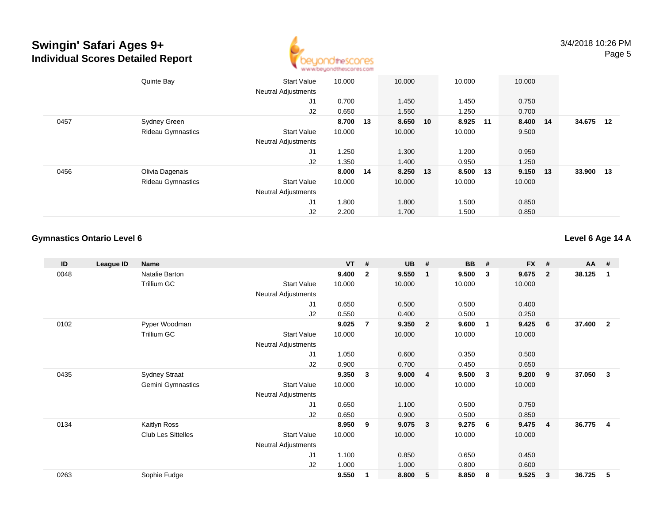

|      | Quinte Bay               | <b>Start Value</b>         | 10.000   | 10.000   | 10.000   | 10.000   |        |      |
|------|--------------------------|----------------------------|----------|----------|----------|----------|--------|------|
|      |                          | <b>Neutral Adjustments</b> |          |          |          |          |        |      |
|      |                          | J1                         | 0.700    | 1.450    | 1.450    | 0.750    |        |      |
|      |                          | J2                         | 0.650    | 1.550    | 1.250    | 0.700    |        |      |
| 0457 | <b>Sydney Green</b>      |                            | 8.700 13 | 8.650 10 | 8.925 11 | 8.400 14 | 34.675 | 12   |
|      | <b>Rideau Gymnastics</b> | <b>Start Value</b>         | 10.000   | 10.000   | 10.000   | 9.500    |        |      |
|      |                          | <b>Neutral Adjustments</b> |          |          |          |          |        |      |
|      |                          | J1                         | 1.250    | 1.300    | 1.200    | 0.950    |        |      |
|      |                          | J2                         | 1.350    | 1.400    | 0.950    | 1.250    |        |      |
| 0456 | Olivia Dagenais          |                            | 8.000 14 | 8.250 13 | 8.500 13 | 9.150 13 | 33.900 | - 13 |
|      | <b>Rideau Gymnastics</b> | <b>Start Value</b>         | 10.000   | 10.000   | 10.000   | 10.000   |        |      |
|      |                          | <b>Neutral Adjustments</b> |          |          |          |          |        |      |
|      |                          | J1                         | 1.800    | 1.800    | 1.500    | 0.850    |        |      |
|      |                          | J2                         | 2.200    | 1.700    | 1.500    | 0.850    |        |      |

### **Gymnastics Ontario Level 6**

### **Level 6 Age 14 A**

| ID   | League ID | Name                      |                            | <b>VT</b> | #              | <b>UB</b> | #              | <b>BB</b> | #  | <b>FX</b> | #              | AA     | #              |
|------|-----------|---------------------------|----------------------------|-----------|----------------|-----------|----------------|-----------|----|-----------|----------------|--------|----------------|
| 0048 |           | Natalie Barton            |                            | 9.400     | $\overline{2}$ | 9.550     | $\mathbf 1$    | 9.500     | 3  | 9.675     | $\overline{2}$ | 38.125 | 1              |
|      |           | <b>Trillium GC</b>        | <b>Start Value</b>         | 10.000    |                | 10.000    |                | 10.000    |    | 10.000    |                |        |                |
|      |           |                           | Neutral Adjustments        |           |                |           |                |           |    |           |                |        |                |
|      |           |                           | J1                         | 0.650     |                | 0.500     |                | 0.500     |    | 0.400     |                |        |                |
|      |           |                           | J2                         | 0.550     |                | 0.400     |                | 0.500     |    | 0.250     |                |        |                |
| 0102 |           | Pyper Woodman             |                            | 9.025     | 7              | 9.350     | $\overline{2}$ | 9.600     | -1 | 9.425     | 6              | 37.400 | $\overline{2}$ |
|      |           | <b>Trillium GC</b>        | <b>Start Value</b>         | 10.000    |                | 10.000    |                | 10.000    |    | 10.000    |                |        |                |
|      |           |                           | Neutral Adjustments        |           |                |           |                |           |    |           |                |        |                |
|      |           |                           | J1                         | 1.050     |                | 0.600     |                | 0.350     |    | 0.500     |                |        |                |
|      |           |                           | J2                         | 0.900     |                | 0.700     |                | 0.450     |    | 0.650     |                |        |                |
| 0435 |           | <b>Sydney Straat</b>      |                            | 9.350     | 3              | 9.000     | $\overline{4}$ | 9.500     | 3  | 9.200     | 9              | 37.050 | 3              |
|      |           | <b>Gemini Gymnastics</b>  | <b>Start Value</b>         | 10.000    |                | 10.000    |                | 10.000    |    | 10.000    |                |        |                |
|      |           |                           | Neutral Adjustments        |           |                |           |                |           |    |           |                |        |                |
|      |           |                           | J1                         | 0.650     |                | 1.100     |                | 0.500     |    | 0.750     |                |        |                |
|      |           |                           | J <sub>2</sub>             | 0.650     |                | 0.900     |                | 0.500     |    | 0.850     |                |        |                |
| 0134 |           | Kaitlyn Ross              |                            | 8.950     | 9              | 9.075     | $\mathbf{3}$   | 9.275     | 6  | 9.475     | -4             | 36.775 | $\overline{4}$ |
|      |           | <b>Club Les Sittelles</b> | <b>Start Value</b>         | 10.000    |                | 10.000    |                | 10.000    |    | 10.000    |                |        |                |
|      |           |                           | <b>Neutral Adjustments</b> |           |                |           |                |           |    |           |                |        |                |
|      |           |                           | J1                         | 1.100     |                | 0.850     |                | 0.650     |    | 0.450     |                |        |                |
|      |           |                           | J <sub>2</sub>             | 1.000     |                | 1.000     |                | 0.800     |    | 0.600     |                |        |                |
| 0263 |           | Sophie Fudge              |                            | 9.550     | 1              | 8.800     | 5              | 8.850     | 8  | 9.525     | 3              | 36.725 | 5              |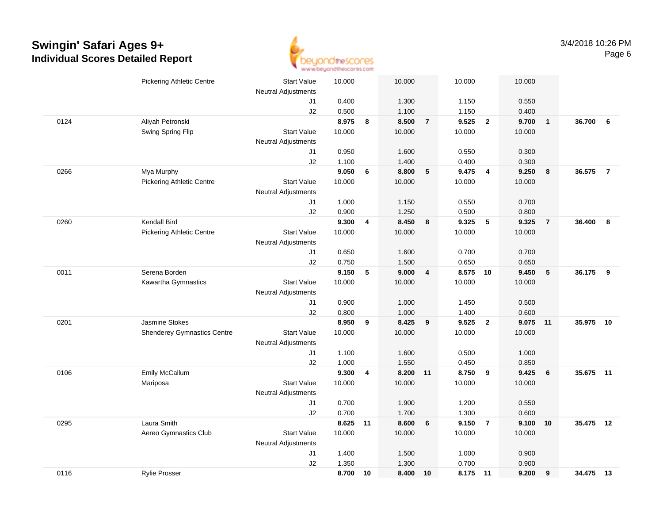

|      | <b>Pickering Athletic Centre</b>   | <b>Start Value</b><br>Neutral Adjustments | 10.000 |                         | 10.000   |                         | 10.000   |                         | 10.000 |                         |           |                |
|------|------------------------------------|-------------------------------------------|--------|-------------------------|----------|-------------------------|----------|-------------------------|--------|-------------------------|-----------|----------------|
|      |                                    | J1                                        | 0.400  |                         | 1.300    |                         | 1.150    |                         | 0.550  |                         |           |                |
|      |                                    | J2                                        | 0.500  |                         | 1.100    |                         | 1.150    |                         | 0.400  |                         |           |                |
| 0124 | Aliyah Petronski                   |                                           | 8.975  | 8                       | 8.500    | $\overline{7}$          | 9.525    | $\overline{2}$          | 9.700  | $\overline{\mathbf{1}}$ | 36.700    | 6              |
|      | Swing Spring Flip                  | <b>Start Value</b>                        | 10.000 |                         | 10.000   |                         | 10.000   |                         | 10.000 |                         |           |                |
|      |                                    | <b>Neutral Adjustments</b>                |        |                         |          |                         |          |                         |        |                         |           |                |
|      |                                    | J1                                        | 0.950  |                         | 1.600    |                         | 0.550    |                         | 0.300  |                         |           |                |
|      |                                    | J2                                        | 1.100  |                         | 1.400    |                         | 0.400    |                         | 0.300  |                         |           |                |
| 0266 | Mya Murphy                         |                                           | 9.050  | 6                       | 8.800    | 5                       | 9.475    | $\overline{4}$          | 9.250  | 8                       | 36.575    | $\overline{7}$ |
|      | <b>Pickering Athletic Centre</b>   | <b>Start Value</b>                        | 10.000 |                         | 10.000   |                         | 10.000   |                         | 10.000 |                         |           |                |
|      |                                    | <b>Neutral Adjustments</b>                |        |                         |          |                         |          |                         |        |                         |           |                |
|      |                                    | J1                                        | 1.000  |                         | 1.150    |                         | 0.550    |                         | 0.700  |                         |           |                |
|      |                                    | J2                                        | 0.900  |                         | 1.250    |                         | 0.500    |                         | 0.800  |                         |           |                |
| 0260 | <b>Kendall Bird</b>                |                                           | 9.300  | $\overline{\mathbf{4}}$ | 8.450    | 8                       | 9.325    | 5                       | 9.325  | $\overline{7}$          | 36.400    | 8              |
|      | <b>Pickering Athletic Centre</b>   | <b>Start Value</b>                        | 10.000 |                         | 10.000   |                         | 10.000   |                         | 10.000 |                         |           |                |
|      |                                    | <b>Neutral Adjustments</b>                |        |                         |          |                         |          |                         |        |                         |           |                |
|      |                                    | J1                                        | 0.650  |                         | 1.600    |                         | 0.700    |                         | 0.700  |                         |           |                |
|      |                                    | J2                                        | 0.750  |                         | 1.500    |                         | 0.650    |                         | 0.650  |                         |           |                |
| 0011 | Serena Borden                      |                                           | 9.150  | 5                       | 9.000    | $\overline{\mathbf{4}}$ | 8.575 10 |                         | 9.450  | $5\phantom{.0}$         | 36.175    | 9              |
|      | Kawartha Gymnastics                | <b>Start Value</b>                        | 10.000 |                         | 10.000   |                         | 10.000   |                         | 10.000 |                         |           |                |
|      |                                    | <b>Neutral Adjustments</b>                |        |                         |          |                         |          |                         |        |                         |           |                |
|      |                                    | J1                                        | 0.900  |                         | 1.000    |                         | 1.450    |                         | 0.500  |                         |           |                |
|      |                                    | J2                                        | 0.800  |                         | 1.000    |                         | 1.400    |                         | 0.600  |                         |           |                |
| 0201 | <b>Jasmine Stokes</b>              |                                           | 8.950  | 9                       | 8.425    | 9                       | 9.525    | $\overline{2}$          | 9.075  | 11                      | 35.975    | 10             |
|      | <b>Shenderey Gymnastics Centre</b> | <b>Start Value</b>                        | 10.000 |                         | 10.000   |                         | 10.000   |                         | 10.000 |                         |           |                |
|      |                                    | <b>Neutral Adjustments</b>                |        |                         |          |                         |          |                         |        |                         |           |                |
|      |                                    | J1                                        | 1.100  |                         | 1.600    |                         | 0.500    |                         | 1.000  |                         |           |                |
|      |                                    | J2                                        | 1.000  |                         | 1.550    |                         | 0.450    |                         | 0.850  |                         |           |                |
| 0106 | Emily McCallum                     |                                           | 9.300  | 4                       | 8.200 11 |                         | 8.750    | $\overline{\mathbf{9}}$ | 9.425  | 6                       | 35.675 11 |                |
|      | Mariposa                           | <b>Start Value</b>                        | 10.000 |                         | 10.000   |                         | 10.000   |                         | 10.000 |                         |           |                |
|      |                                    | <b>Neutral Adjustments</b>                |        |                         |          |                         |          |                         |        |                         |           |                |
|      |                                    | J1                                        | 0.700  |                         | 1.900    |                         | 1.200    |                         | 0.550  |                         |           |                |
|      |                                    | J2                                        | 0.700  |                         | 1.700    |                         | 1.300    |                         | 0.600  |                         |           |                |
| 0295 | Laura Smith                        |                                           | 8.625  | 11                      | 8.600    | 6                       | 9.150    | $\overline{7}$          | 9.100  | 10                      | 35.475 12 |                |
|      | Aereo Gymnastics Club              | <b>Start Value</b>                        | 10.000 |                         | 10.000   |                         | 10.000   |                         | 10.000 |                         |           |                |
|      |                                    | <b>Neutral Adjustments</b>                |        |                         |          |                         |          |                         |        |                         |           |                |
|      |                                    | J1                                        | 1.400  |                         | 1.500    |                         | 1.000    |                         | 0.900  |                         |           |                |
|      |                                    | J2                                        | 1.350  |                         | 1.300    |                         | 0.700    |                         | 0.900  |                         |           |                |
| 0116 | Rylie Prosser                      |                                           | 8.700  | 10                      | 8.400    | 10                      | 8.175 11 |                         | 9.200  | 9                       | 34.475 13 |                |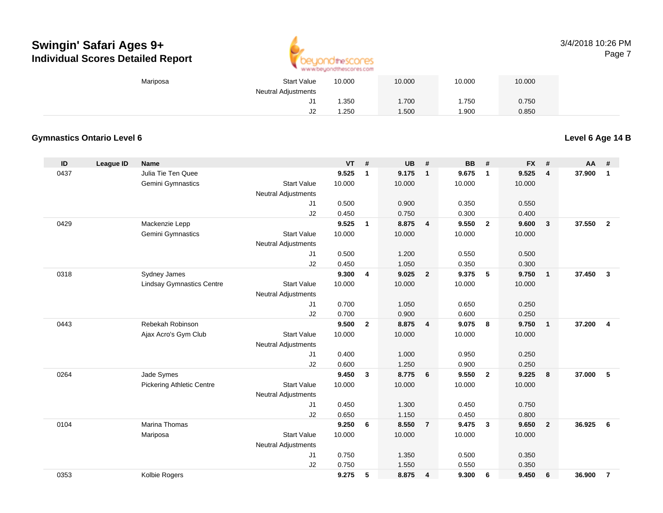

#### 3/4/2018 10:26 PMPage 7

| Mariposa | <b>Start Value</b>         | 10.000 | 10.000 | 10.000 | 10.000 |
|----------|----------------------------|--------|--------|--------|--------|
|          | <b>Neutral Adjustments</b> |        |        |        |        |
|          | J1                         | .350   | 1.700  | .750   | 0.750  |
|          | J2                         | .250   | .500   | 1.900  | 0.850  |

### **Gymnastics Ontario Level 6**

**Level 6 Age 14 B**

| ID   | <b>League ID</b> | <b>Name</b>                      |                            | <b>VT</b> | #              | UB     | #              | <b>BB</b> | #                       | <b>FX</b> | #                       | AA     | #              |
|------|------------------|----------------------------------|----------------------------|-----------|----------------|--------|----------------|-----------|-------------------------|-----------|-------------------------|--------|----------------|
| 0437 |                  | Julia Tie Ten Quee               |                            | 9.525     | $\mathbf{1}$   | 9.175  | $\mathbf{1}$   | 9.675     | $\overline{1}$          | 9.525     | $\overline{\mathbf{4}}$ | 37.900 | $\mathbf{1}$   |
|      |                  | Gemini Gymnastics                | <b>Start Value</b>         | 10.000    |                | 10.000 |                | 10.000    |                         | 10.000    |                         |        |                |
|      |                  |                                  | <b>Neutral Adjustments</b> |           |                |        |                |           |                         |           |                         |        |                |
|      |                  |                                  | J1                         | 0.500     |                | 0.900  |                | 0.350     |                         | 0.550     |                         |        |                |
|      |                  |                                  | J2                         | 0.450     |                | 0.750  |                | 0.300     |                         | 0.400     |                         |        |                |
| 0429 |                  | Mackenzie Lepp                   |                            | 9.525     | $\mathbf{1}$   | 8.875  | $\overline{4}$ | 9.550     | $\overline{2}$          | 9.600     | $\overline{\mathbf{3}}$ | 37.550 | $\overline{2}$ |
|      |                  | Gemini Gymnastics                | <b>Start Value</b>         | 10.000    |                | 10.000 |                | 10.000    |                         | 10.000    |                         |        |                |
|      |                  |                                  | <b>Neutral Adjustments</b> |           |                |        |                |           |                         |           |                         |        |                |
|      |                  |                                  | J1                         | 0.500     |                | 1.200  |                | 0.550     |                         | 0.500     |                         |        |                |
|      |                  |                                  | J2                         | 0.450     |                | 1.050  |                | 0.350     |                         | 0.300     |                         |        |                |
| 0318 |                  | Sydney James                     |                            | 9.300     | 4              | 9.025  | $\overline{2}$ | 9.375     | 5                       | 9.750     | $\overline{1}$          | 37.450 | $\mathbf{3}$   |
|      |                  | <b>Lindsay Gymnastics Centre</b> | <b>Start Value</b>         | 10.000    |                | 10.000 |                | 10.000    |                         | 10.000    |                         |        |                |
|      |                  |                                  | <b>Neutral Adjustments</b> |           |                |        |                |           |                         |           |                         |        |                |
|      |                  |                                  | J1                         | 0.700     |                | 1.050  |                | 0.650     |                         | 0.250     |                         |        |                |
|      |                  |                                  | J2                         | 0.700     |                | 0.900  |                | 0.600     |                         | 0.250     |                         |        |                |
| 0443 |                  | Rebekah Robinson                 |                            | 9.500     | $\overline{2}$ | 8.875  | $\overline{4}$ | 9.075     | 8                       | 9.750     | $\overline{1}$          | 37.200 | $\overline{4}$ |
|      |                  | Ajax Acro's Gym Club             | <b>Start Value</b>         | 10.000    |                | 10.000 |                | 10.000    |                         | 10.000    |                         |        |                |
|      |                  |                                  | <b>Neutral Adjustments</b> |           |                |        |                |           |                         |           |                         |        |                |
|      |                  |                                  | J1                         | 0.400     |                | 1.000  |                | 0.950     |                         | 0.250     |                         |        |                |
|      |                  |                                  | J2                         | 0.600     |                | 1.250  |                | 0.900     |                         | 0.250     |                         |        |                |
| 0264 |                  | Jade Symes                       |                            | 9.450     | 3              | 8.775  | 6              | 9.550     | $\overline{\mathbf{2}}$ | 9.225     | 8                       | 37,000 | 5              |
|      |                  | <b>Pickering Athletic Centre</b> | <b>Start Value</b>         | 10.000    |                | 10.000 |                | 10.000    |                         | 10.000    |                         |        |                |
|      |                  |                                  | <b>Neutral Adjustments</b> |           |                |        |                |           |                         |           |                         |        |                |
|      |                  |                                  | J1                         | 0.450     |                | 1.300  |                | 0.450     |                         | 0.750     |                         |        |                |
|      |                  |                                  | J2                         | 0.650     |                | 1.150  |                | 0.450     |                         | 0.800     |                         |        |                |
| 0104 |                  | <b>Marina Thomas</b>             |                            | 9.250     | 6              | 8.550  | $\overline{7}$ | 9.475     | $\overline{\mathbf{3}}$ | 9.650     | $\overline{2}$          | 36.925 | 6              |
|      |                  | Mariposa                         | <b>Start Value</b>         | 10.000    |                | 10.000 |                | 10.000    |                         | 10.000    |                         |        |                |
|      |                  |                                  | Neutral Adjustments        |           |                |        |                |           |                         |           |                         |        |                |
|      |                  |                                  | J1                         | 0.750     |                | 1.350  |                | 0.500     |                         | 0.350     |                         |        |                |
|      |                  |                                  | J2                         | 0.750     |                | 1.550  |                | 0.550     |                         | 0.350     |                         |        |                |
| 0353 |                  | Kolbie Rogers                    |                            | 9.275     | 5              | 8.875  | 4              | 9.300     | 6                       | 9.450     | 6                       | 36.900 | $\overline{7}$ |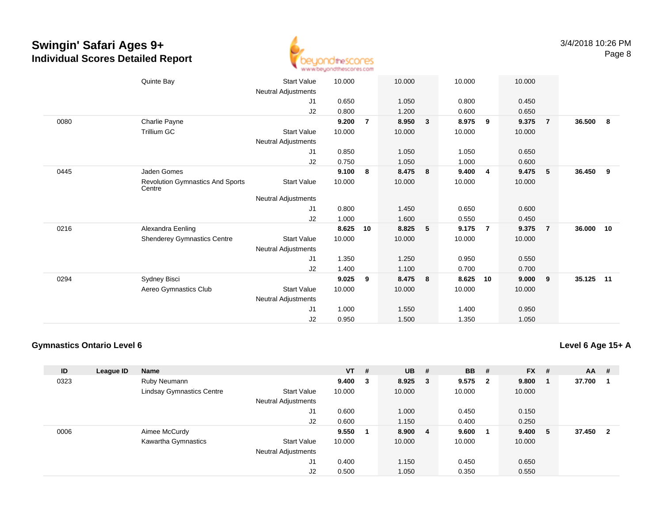

|      | Quinte Bay                                        | <b>Start Value</b>  | 10.000 |                | 10.000 |   | 10.000 |                | 10.000 |                |           |    |
|------|---------------------------------------------------|---------------------|--------|----------------|--------|---|--------|----------------|--------|----------------|-----------|----|
|      |                                                   | Neutral Adjustments |        |                |        |   |        |                |        |                |           |    |
|      |                                                   | J1                  | 0.650  |                | 1.050  |   | 0.800  |                | 0.450  |                |           |    |
|      |                                                   | J2                  | 0.800  |                | 1.200  |   | 0.600  |                | 0.650  |                |           |    |
| 0080 | Charlie Payne                                     |                     | 9.200  | $\overline{7}$ | 8.950  | 3 | 8.975  | 9              | 9.375  | $\overline{7}$ | 36.500    | 8  |
|      | <b>Trillium GC</b>                                | <b>Start Value</b>  | 10.000 |                | 10.000 |   | 10.000 |                | 10.000 |                |           |    |
|      |                                                   | Neutral Adjustments |        |                |        |   |        |                |        |                |           |    |
|      |                                                   | J1                  | 0.850  |                | 1.050  |   | 1.050  |                | 0.650  |                |           |    |
|      |                                                   | J2                  | 0.750  |                | 1.050  |   | 1.000  |                | 0.600  |                |           |    |
| 0445 | Jaden Gomes                                       |                     | 9.100  | 8              | 8.475  | 8 | 9.400  | 4              | 9.475  | $-5$           | 36.450    | 9  |
|      | <b>Revolution Gymnastics And Sports</b><br>Centre | <b>Start Value</b>  | 10.000 |                | 10.000 |   | 10.000 |                | 10.000 |                |           |    |
|      |                                                   | Neutral Adjustments |        |                |        |   |        |                |        |                |           |    |
|      |                                                   | J1                  | 0.800  |                | 1.450  |   | 0.650  |                | 0.600  |                |           |    |
|      |                                                   | J2                  | 1.000  |                | 1.600  |   | 0.550  |                | 0.450  |                |           |    |
| 0216 | Alexandra Eenling                                 |                     | 8.625  | 10             | 8.825  | 5 | 9.175  | $\overline{7}$ | 9.375  | -7             | 36.000    | 10 |
|      | <b>Shenderey Gymnastics Centre</b>                | <b>Start Value</b>  | 10.000 |                | 10.000 |   | 10.000 |                | 10.000 |                |           |    |
|      |                                                   | Neutral Adjustments |        |                |        |   |        |                |        |                |           |    |
|      |                                                   | J1                  | 1.350  |                | 1.250  |   | 0.950  |                | 0.550  |                |           |    |
|      |                                                   | J2                  | 1.400  |                | 1.100  |   | 0.700  |                | 0.700  |                |           |    |
| 0294 | Sydney Bisci                                      |                     | 9.025  | 9              | 8.475  | 8 | 8.625  | 10             | 9.000  | 9              | 35.125 11 |    |
|      | Aereo Gymnastics Club                             | <b>Start Value</b>  | 10.000 |                | 10.000 |   | 10.000 |                | 10.000 |                |           |    |
|      |                                                   | Neutral Adjustments |        |                |        |   |        |                |        |                |           |    |
|      |                                                   | J1                  | 1.000  |                | 1.550  |   | 1.400  |                | 0.950  |                |           |    |
|      |                                                   | J2                  | 0.950  |                | 1.500  |   | 1.350  |                | 1.050  |                |           |    |
|      |                                                   |                     |        |                |        |   |        |                |        |                |           |    |

### **Gymnastics Ontario Level 6**

**Level 6 Age 15+ A**

| ID   | League ID | <b>Name</b>                      |                            | <b>VT</b> | #   | <b>UB</b> | #   | <b>BB</b> | #            | $FX$ # |   | <b>AA</b> | - #                     |
|------|-----------|----------------------------------|----------------------------|-----------|-----|-----------|-----|-----------|--------------|--------|---|-----------|-------------------------|
| 0323 |           | Ruby Neumann                     |                            | 9.400     | - 3 | 8.925     | - 3 | 9.575     | $\mathbf{2}$ | 9.800  |   | 37.700    |                         |
|      |           | <b>Lindsay Gymnastics Centre</b> | <b>Start Value</b>         | 10.000    |     | 10.000    |     | 10.000    |              | 10.000 |   |           |                         |
|      |           |                                  | <b>Neutral Adjustments</b> |           |     |           |     |           |              |        |   |           |                         |
|      |           |                                  | J1                         | 0.600     |     | 1.000     |     | 0.450     |              | 0.150  |   |           |                         |
|      |           |                                  | J2                         | 0.600     |     | 1.150     |     | 0.400     |              | 0.250  |   |           |                         |
| 0006 |           | Aimee McCurdy                    |                            | 9.550     | - 1 | 8.900     | -4  | 9.600     |              | 9.400  | 5 | 37.450    | $\overline{\mathbf{2}}$ |
|      |           | Kawartha Gymnastics              | <b>Start Value</b>         | 10.000    |     | 10.000    |     | 10.000    |              | 10.000 |   |           |                         |
|      |           |                                  | <b>Neutral Adjustments</b> |           |     |           |     |           |              |        |   |           |                         |
|      |           |                                  | J <sub>1</sub>             | 0.400     |     | 1.150     |     | 0.450     |              | 0.650  |   |           |                         |
|      |           |                                  | J <sub>2</sub>             | 0.500     |     | 1.050     |     | 0.350     |              | 0.550  |   |           |                         |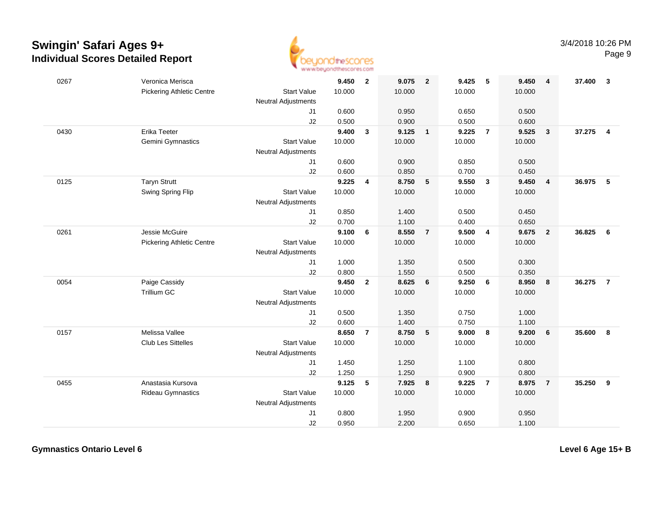

| 0267 | Veronica Merisca                 |                            | 9.450  | $\overline{\mathbf{2}}$ | 9.075  | $\overline{\mathbf{2}}$ | 9.425  | 5                       | 9.450  | $\overline{4}$          | 37.400 | $\overline{\mathbf{3}}$ |
|------|----------------------------------|----------------------------|--------|-------------------------|--------|-------------------------|--------|-------------------------|--------|-------------------------|--------|-------------------------|
|      | <b>Pickering Athletic Centre</b> | <b>Start Value</b>         | 10.000 |                         | 10.000 |                         | 10.000 |                         | 10.000 |                         |        |                         |
|      |                                  | Neutral Adjustments        |        |                         |        |                         |        |                         |        |                         |        |                         |
|      |                                  | J1                         | 0.600  |                         | 0.950  |                         | 0.650  |                         | 0.500  |                         |        |                         |
|      |                                  | J2                         | 0.500  |                         | 0.900  |                         | 0.500  |                         | 0.600  |                         |        |                         |
| 0430 | <b>Erika Teeter</b>              |                            | 9.400  | $\mathbf{3}$            | 9.125  | $\overline{\mathbf{1}}$ | 9.225  | $\overline{7}$          | 9.525  | $\mathbf{3}$            | 37.275 | $\overline{4}$          |
|      | Gemini Gymnastics                | <b>Start Value</b>         | 10.000 |                         | 10.000 |                         | 10.000 |                         | 10.000 |                         |        |                         |
|      |                                  | <b>Neutral Adjustments</b> |        |                         |        |                         |        |                         |        |                         |        |                         |
|      |                                  | J1                         | 0.600  |                         | 0.900  |                         | 0.850  |                         | 0.500  |                         |        |                         |
|      |                                  | J2                         | 0.600  |                         | 0.850  |                         | 0.700  |                         | 0.450  |                         |        |                         |
| 0125 | <b>Taryn Strutt</b>              |                            | 9.225  | $\overline{\mathbf{4}}$ | 8.750  | 5                       | 9.550  | $\overline{\mathbf{3}}$ | 9.450  | $\overline{\mathbf{4}}$ | 36.975 | 5                       |
|      | Swing Spring Flip                | <b>Start Value</b>         | 10.000 |                         | 10.000 |                         | 10.000 |                         | 10.000 |                         |        |                         |
|      |                                  | Neutral Adjustments        |        |                         |        |                         |        |                         |        |                         |        |                         |
|      |                                  | J1                         | 0.850  |                         | 1.400  |                         | 0.500  |                         | 0.450  |                         |        |                         |
|      |                                  | J <sub>2</sub>             | 0.700  |                         | 1.100  |                         | 0.400  |                         | 0.650  |                         |        |                         |
| 0261 | Jessie McGuire                   |                            | 9.100  | 6                       | 8.550  | $\overline{7}$          | 9.500  | $\overline{4}$          | 9.675  | $\overline{2}$          | 36.825 | 6                       |
|      | <b>Pickering Athletic Centre</b> | <b>Start Value</b>         | 10.000 |                         | 10.000 |                         | 10.000 |                         | 10.000 |                         |        |                         |
|      |                                  | Neutral Adjustments        |        |                         |        |                         |        |                         |        |                         |        |                         |
|      |                                  | J1                         | 1.000  |                         | 1.350  |                         | 0.500  |                         | 0.300  |                         |        |                         |
|      |                                  | J2                         | 0.800  |                         | 1.550  |                         | 0.500  |                         | 0.350  |                         |        |                         |
| 0054 | Paige Cassidy                    |                            | 9.450  | $\overline{2}$          | 8.625  | 6                       | 9.250  | 6                       | 8.950  | 8                       | 36.275 | $\overline{7}$          |
|      | <b>Trillium GC</b>               | <b>Start Value</b>         | 10.000 |                         | 10.000 |                         | 10.000 |                         | 10.000 |                         |        |                         |
|      |                                  | <b>Neutral Adjustments</b> |        |                         |        |                         |        |                         |        |                         |        |                         |
|      |                                  | J1                         | 0.500  |                         | 1.350  |                         | 0.750  |                         | 1.000  |                         |        |                         |
|      |                                  | J2                         | 0.600  |                         | 1.400  |                         | 0.750  |                         | 1.100  |                         |        |                         |
| 0157 | Melissa Vallee                   |                            | 8.650  | $\overline{7}$          | 8.750  | 5                       | 9.000  | 8                       | 9.200  | 6                       | 35.600 | 8                       |
|      | Club Les Sittelles               | <b>Start Value</b>         | 10.000 |                         | 10.000 |                         | 10.000 |                         | 10.000 |                         |        |                         |
|      |                                  | <b>Neutral Adjustments</b> |        |                         |        |                         |        |                         |        |                         |        |                         |
|      |                                  | J1                         | 1.450  |                         | 1.250  |                         | 1.100  |                         | 0.800  |                         |        |                         |
|      |                                  | J2                         | 1.250  |                         | 1.250  |                         | 0.900  |                         | 0.800  |                         |        |                         |
| 0455 | Anastasia Kursova                |                            | 9.125  | 5                       | 7.925  | 8                       | 9.225  | $\overline{7}$          | 8.975  | $\overline{7}$          | 35.250 | 9                       |
|      | Rideau Gymnastics                | <b>Start Value</b>         | 10.000 |                         | 10.000 |                         | 10.000 |                         | 10.000 |                         |        |                         |
|      |                                  | <b>Neutral Adjustments</b> |        |                         |        |                         |        |                         |        |                         |        |                         |
|      |                                  | J1                         | 0.800  |                         | 1.950  |                         | 0.900  |                         | 0.950  |                         |        |                         |
|      |                                  | J2                         | 0.950  |                         | 2.200  |                         | 0.650  |                         | 1.100  |                         |        |                         |

**Gymnastics Ontario Level 6**

**Level 6 Age 15+ B**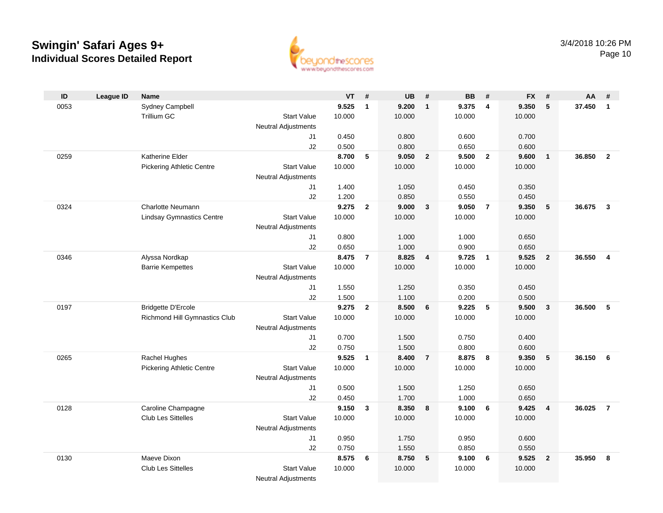

| ID   | <b>League ID</b> | <b>Name</b>                      |                            | $VT$ # |                | <b>UB</b> | #                       | <b>BB</b> | #               | <b>FX</b> | #                       | AA       | #              |
|------|------------------|----------------------------------|----------------------------|--------|----------------|-----------|-------------------------|-----------|-----------------|-----------|-------------------------|----------|----------------|
| 0053 |                  | Sydney Campbell                  |                            | 9.525  | $\mathbf{1}$   | 9.200     | $\mathbf{1}$            | 9.375     | 4               | 9.350     | 5                       | 37.450   | $\mathbf{1}$   |
|      |                  | Trillium GC                      | <b>Start Value</b>         | 10.000 |                | 10.000    |                         | 10.000    |                 | 10.000    |                         |          |                |
|      |                  |                                  | <b>Neutral Adjustments</b> |        |                |           |                         |           |                 |           |                         |          |                |
|      |                  |                                  | J1                         | 0.450  |                | 0.800     |                         | 0.600     |                 | 0.700     |                         |          |                |
|      |                  |                                  | J2                         | 0.500  |                | 0.800     |                         | 0.650     |                 | 0.600     |                         |          |                |
| 0259 |                  | Katherine Elder                  |                            | 8.700  | 5              | 9.050     | $\overline{2}$          | 9.500     | $\overline{2}$  | 9.600     | $\overline{1}$          | 36.850   | $\overline{2}$ |
|      |                  | <b>Pickering Athletic Centre</b> | <b>Start Value</b>         | 10.000 |                | 10.000    |                         | 10.000    |                 | 10.000    |                         |          |                |
|      |                  |                                  | <b>Neutral Adjustments</b> |        |                |           |                         |           |                 |           |                         |          |                |
|      |                  |                                  | J1                         | 1.400  |                | 1.050     |                         | 0.450     |                 | 0.350     |                         |          |                |
|      |                  |                                  | J2                         | 1.200  |                | 0.850     |                         | 0.550     |                 | 0.450     |                         |          |                |
| 0324 |                  | Charlotte Neumann                |                            | 9.275  | $\overline{2}$ | 9.000     | $\mathbf{3}$            | 9.050     | $\overline{7}$  | 9.350     | $5\phantom{1}$          | 36.675   | $\mathbf{3}$   |
|      |                  | <b>Lindsay Gymnastics Centre</b> | <b>Start Value</b>         | 10.000 |                | 10.000    |                         | 10.000    |                 | 10.000    |                         |          |                |
|      |                  |                                  | Neutral Adjustments        |        |                |           |                         |           |                 |           |                         |          |                |
|      |                  |                                  | J1                         | 0.800  |                | 1.000     |                         | 1.000     |                 | 0.650     |                         |          |                |
|      |                  |                                  | J2                         | 0.650  |                | 1.000     |                         | 0.900     |                 | 0.650     |                         |          |                |
| 0346 |                  | Alyssa Nordkap                   |                            | 8.475  | $\overline{7}$ | 8.825     | $\overline{\mathbf{4}}$ | 9.725     | $\overline{1}$  | 9.525     | $\overline{2}$          | 36.550   | $\overline{4}$ |
|      |                  | <b>Barrie Kempettes</b>          | <b>Start Value</b>         | 10.000 |                | 10.000    |                         | 10.000    |                 | 10.000    |                         |          |                |
|      |                  |                                  | Neutral Adjustments        |        |                |           |                         |           |                 |           |                         |          |                |
|      |                  |                                  | J1                         | 1.550  |                | 1.250     |                         | 0.350     |                 | 0.450     |                         |          |                |
|      |                  |                                  | J2                         | 1.500  |                | 1.100     |                         | 0.200     |                 | 0.500     |                         |          |                |
| 0197 |                  | <b>Bridgette D'Ercole</b>        |                            | 9.275  | $\overline{2}$ | 8.500     | 6                       | 9.225     | 5               | 9.500     | $\overline{\mathbf{3}}$ | 36.500   | 5              |
|      |                  | Richmond Hill Gymnastics Club    | <b>Start Value</b>         | 10.000 |                | 10.000    |                         | 10.000    |                 | 10.000    |                         |          |                |
|      |                  |                                  | <b>Neutral Adjustments</b> |        |                |           |                         |           |                 |           |                         |          |                |
|      |                  |                                  | J1                         | 0.700  |                | 1.500     |                         | 0.750     |                 | 0.400     |                         |          |                |
|      |                  |                                  | J2                         | 0.750  |                | 1.500     |                         | 0.800     |                 | 0.600     |                         |          |                |
| 0265 |                  | Rachel Hughes                    |                            | 9.525  | $\overline{1}$ | 8.400     | $\overline{7}$          | 8.875     | 8               | 9.350     | 5                       | 36.150 6 |                |
|      |                  | <b>Pickering Athletic Centre</b> | <b>Start Value</b>         | 10.000 |                | 10.000    |                         | 10.000    |                 | 10.000    |                         |          |                |
|      |                  |                                  | Neutral Adjustments        |        |                |           |                         |           |                 |           |                         |          |                |
|      |                  |                                  | J1                         | 0.500  |                | 1.500     |                         | 1.250     |                 | 0.650     |                         |          |                |
|      |                  |                                  | J2                         | 0.450  |                | 1.700     |                         | 1.000     |                 | 0.650     |                         |          |                |
| 0128 |                  | Caroline Champagne               |                            | 9.150  | $\mathbf{3}$   | 8.350     | 8                       | 9.100     | $6\overline{6}$ | 9.425     | $\overline{\mathbf{4}}$ | 36.025   | $\overline{7}$ |
|      |                  | Club Les Sittelles               | <b>Start Value</b>         | 10.000 |                | 10.000    |                         | 10.000    |                 | 10.000    |                         |          |                |
|      |                  |                                  | <b>Neutral Adjustments</b> |        |                |           |                         |           |                 |           |                         |          |                |
|      |                  |                                  | J1                         | 0.950  |                | 1.750     |                         | 0.950     |                 | 0.600     |                         |          |                |
|      |                  |                                  | J2                         | 0.750  |                | 1.550     |                         | 0.850     |                 | 0.550     |                         |          |                |
| 0130 |                  | Maeve Dixon                      |                            | 8.575  | 6              | 8.750     | 5                       | 9.100     | 6               | 9.525     | $\overline{\mathbf{2}}$ | 35.950   | -8             |
|      |                  | <b>Club Les Sittelles</b>        | <b>Start Value</b>         | 10.000 |                | 10.000    |                         | 10.000    |                 | 10.000    |                         |          |                |
|      |                  |                                  | <b>Neutral Adjustments</b> |        |                |           |                         |           |                 |           |                         |          |                |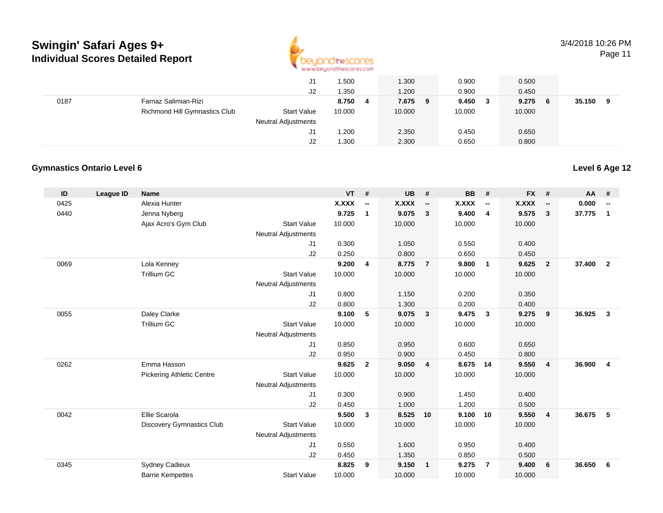

Page 11

|      |                               | J1                         | 1.500      | 1.300   | 0.900   | 0.500       |             |
|------|-------------------------------|----------------------------|------------|---------|---------|-------------|-------------|
|      |                               | J2                         | 1.350      | 1.200   | 0.900   | 0.450       |             |
| 0187 | Farnaz Salimian-Rizi          |                            | 8.750<br>4 | 7.675 9 | 9.450 3 | 9.275<br>-6 | 35.150<br>9 |
|      | Richmond Hill Gymnastics Club | <b>Start Value</b>         | 10.000     | 10.000  | 10.000  | 10.000      |             |
|      |                               | <b>Neutral Adjustments</b> |            |         |         |             |             |
|      |                               | J1                         | 1.200      | 2.350   | 0.450   | 0.650       |             |
|      |                               | J2                         | 1.300      | 2.300   | 0.650   | 0.800       |             |

#### **Gymnastics Ontario Level 6Level 6 Age 12**

| ID   | League ID | <b>Name</b>                      |                            | VT     | #                        | <b>UB</b>    | #                        | BB     | #                        | <b>FX</b>    | #                        | AA     | #                        |
|------|-----------|----------------------------------|----------------------------|--------|--------------------------|--------------|--------------------------|--------|--------------------------|--------------|--------------------------|--------|--------------------------|
| 0425 |           | Alexia Hunter                    |                            | X.XXX  | $\overline{\phantom{a}}$ | <b>X.XXX</b> | $\overline{\phantom{a}}$ | X.XXX  | $\overline{\phantom{a}}$ | <b>X.XXX</b> | $\overline{\phantom{a}}$ | 0.000  | $\overline{\phantom{a}}$ |
| 0440 |           | Jenna Nyberg                     |                            | 9.725  | $\mathbf{1}$             | 9.075        | $\mathbf{3}$             | 9.400  | $\overline{4}$           | 9.575        | $\mathbf{3}$             | 37.775 | $\mathbf{1}$             |
|      |           | Ajax Acro's Gym Club             | <b>Start Value</b>         | 10.000 |                          | 10.000       |                          | 10.000 |                          | 10.000       |                          |        |                          |
|      |           |                                  | <b>Neutral Adjustments</b> |        |                          |              |                          |        |                          |              |                          |        |                          |
|      |           |                                  | J <sub>1</sub>             | 0.300  |                          | 1.050        |                          | 0.550  |                          | 0.400        |                          |        |                          |
|      |           |                                  | J2                         | 0.250  |                          | 0.800        |                          | 0.650  |                          | 0.450        |                          |        |                          |
| 0069 |           | Lola Kenney                      |                            | 9.200  | $\overline{4}$           | 8.775        | $\overline{7}$           | 9.800  | $\overline{1}$           | 9.625        | $\overline{2}$           | 37.400 | $\overline{2}$           |
|      |           | <b>Trillium GC</b>               | <b>Start Value</b>         | 10.000 |                          | 10.000       |                          | 10.000 |                          | 10.000       |                          |        |                          |
|      |           |                                  | <b>Neutral Adjustments</b> |        |                          |              |                          |        |                          |              |                          |        |                          |
|      |           |                                  | J1                         | 0.800  |                          | 1.150        |                          | 0.200  |                          | 0.350        |                          |        |                          |
|      |           |                                  | J2                         | 0.800  |                          | 1.300        |                          | 0.200  |                          | 0.400        |                          |        |                          |
| 0055 |           | Daley Clarke                     |                            | 9.100  | 5                        | 9.075        | $\overline{\mathbf{3}}$  | 9.475  | $\mathbf{3}$             | 9.275        | 9                        | 36.925 | $\mathbf{3}$             |
|      |           | <b>Trillium GC</b>               | <b>Start Value</b>         | 10.000 |                          | 10.000       |                          | 10.000 |                          | 10.000       |                          |        |                          |
|      |           |                                  | <b>Neutral Adjustments</b> |        |                          |              |                          |        |                          |              |                          |        |                          |
|      |           |                                  | J1                         | 0.850  |                          | 0.950        |                          | 0.600  |                          | 0.650        |                          |        |                          |
|      |           |                                  | J2                         | 0.950  |                          | 0.900        |                          | 0.450  |                          | 0.800        |                          |        |                          |
| 0262 |           | Emma Hasson                      |                            | 9.625  | $\overline{2}$           | 9.050        | $\overline{4}$           | 8.675  | 14                       | 9.550        | $\overline{4}$           | 36,900 | $\overline{4}$           |
|      |           | <b>Pickering Athletic Centre</b> | <b>Start Value</b>         | 10.000 |                          | 10.000       |                          | 10.000 |                          | 10.000       |                          |        |                          |
|      |           |                                  | <b>Neutral Adjustments</b> |        |                          |              |                          |        |                          |              |                          |        |                          |
|      |           |                                  | J1                         | 0.300  |                          | 0.900        |                          | 1.450  |                          | 0.400        |                          |        |                          |
|      |           |                                  | J2                         | 0.450  |                          | 1.000        |                          | 1.200  |                          | 0.500        |                          |        |                          |
| 0042 |           | Ellie Scarola                    |                            | 9.500  | $\mathbf{3}$             | 8.525        | 10                       | 9.100  | 10                       | 9.550        | $\overline{4}$           | 36.675 | 5                        |
|      |           | <b>Discovery Gymnastics Club</b> | <b>Start Value</b>         | 10.000 |                          | 10.000       |                          | 10.000 |                          | 10.000       |                          |        |                          |
|      |           |                                  | <b>Neutral Adjustments</b> |        |                          |              |                          |        |                          |              |                          |        |                          |
|      |           |                                  | J <sub>1</sub>             | 0.550  |                          | 1.600        |                          | 0.950  |                          | 0.400        |                          |        |                          |
|      |           |                                  | J2                         | 0.450  |                          | 1.350        |                          | 0.850  |                          | 0.500        |                          |        |                          |
| 0345 |           | <b>Sydney Cadieux</b>            |                            | 8.825  | 9                        | 9.150        | $\overline{\mathbf{1}}$  | 9.275  | $\overline{7}$           | 9.400        | 6                        | 36.650 | 6                        |
|      |           | <b>Barrie Kempettes</b>          | <b>Start Value</b>         | 10.000 |                          | 10.000       |                          | 10.000 |                          | 10.000       |                          |        |                          |
|      |           |                                  |                            |        |                          |              |                          |        |                          |              |                          |        |                          |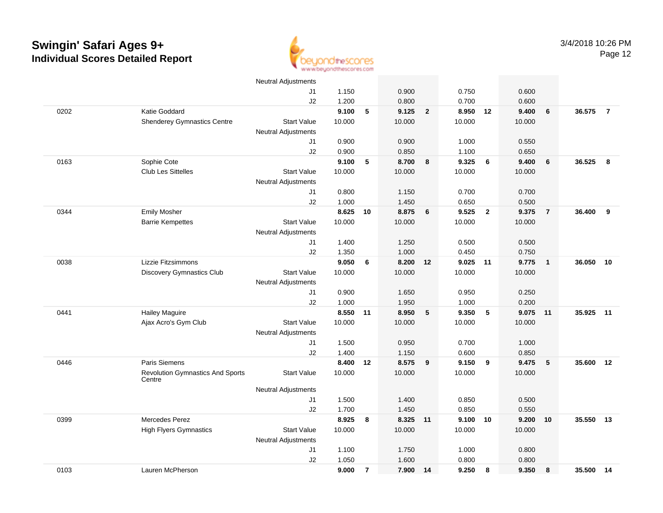

|      |                                                   | <b>Neutral Adjustments</b> |        |                |        |                |          |                         |        |                |        |                |
|------|---------------------------------------------------|----------------------------|--------|----------------|--------|----------------|----------|-------------------------|--------|----------------|--------|----------------|
|      |                                                   | J1                         | 1.150  |                | 0.900  |                | 0.750    |                         | 0.600  |                |        |                |
|      |                                                   | J2                         | 1.200  |                | 0.800  |                | 0.700    |                         | 0.600  |                |        |                |
| 0202 | Katie Goddard                                     |                            | 9.100  | 5              | 9.125  | $\overline{2}$ | 8.950    | 12                      | 9.400  | 6              | 36.575 | $\overline{7}$ |
|      | <b>Shenderey Gymnastics Centre</b>                | <b>Start Value</b>         | 10.000 |                | 10.000 |                | 10.000   |                         | 10.000 |                |        |                |
|      |                                                   | <b>Neutral Adjustments</b> |        |                |        |                |          |                         |        |                |        |                |
|      |                                                   | J1                         | 0.900  |                | 0.900  |                | 1.000    |                         | 0.550  |                |        |                |
|      |                                                   | J2                         | 0.900  |                | 0.850  |                | 1.100    |                         | 0.650  |                |        |                |
| 0163 | Sophie Cote                                       |                            | 9.100  | 5              | 8.700  | $\bf{8}$       | 9.325    | 6                       | 9.400  | 6              | 36.525 | 8              |
|      | <b>Club Les Sittelles</b>                         | <b>Start Value</b>         | 10.000 |                | 10.000 |                | 10.000   |                         | 10.000 |                |        |                |
|      |                                                   | <b>Neutral Adjustments</b> |        |                |        |                |          |                         |        |                |        |                |
|      |                                                   | J1                         | 0.800  |                | 1.150  |                | 0.700    |                         | 0.700  |                |        |                |
|      |                                                   | J2                         | 1.000  |                | 1.450  |                | 0.650    |                         | 0.500  |                |        |                |
| 0344 | <b>Emily Mosher</b>                               |                            | 8.625  | 10             | 8.875  | 6              | 9.525    | $\overline{\mathbf{2}}$ | 9.375  | $\overline{7}$ | 36.400 | 9              |
|      | <b>Barrie Kempettes</b>                           | <b>Start Value</b>         | 10.000 |                | 10.000 |                | 10.000   |                         | 10.000 |                |        |                |
|      |                                                   | <b>Neutral Adjustments</b> |        |                |        |                |          |                         |        |                |        |                |
|      |                                                   | J1                         | 1.400  |                | 1.250  |                | 0.500    |                         | 0.500  |                |        |                |
|      |                                                   | J2                         | 1.350  |                | 1.000  |                | 0.450    |                         | 0.750  |                |        |                |
| 0038 | Lizzie Fitzsimmons                                |                            | 9.050  | 6              | 8.200  | 12             | 9.025 11 |                         | 9.775  | $\mathbf{1}$   | 36.050 | 10             |
|      | <b>Discovery Gymnastics Club</b>                  | <b>Start Value</b>         | 10.000 |                | 10.000 |                | 10.000   |                         | 10.000 |                |        |                |
|      |                                                   | <b>Neutral Adjustments</b> |        |                |        |                |          |                         |        |                |        |                |
|      |                                                   | J1                         | 0.900  |                | 1.650  |                | 0.950    |                         | 0.250  |                |        |                |
|      |                                                   | J2                         | 1.000  |                | 1.950  |                | 1.000    |                         | 0.200  |                |        |                |
| 0441 | <b>Hailey Maguire</b>                             |                            | 8.550  | 11             | 8.950  | 5              | 9.350    | 5                       | 9.075  | 11             | 35.925 | 11             |
|      | Ajax Acro's Gym Club                              | <b>Start Value</b>         | 10.000 |                | 10.000 |                | 10.000   |                         | 10.000 |                |        |                |
|      |                                                   | <b>Neutral Adjustments</b> |        |                |        |                |          |                         |        |                |        |                |
|      |                                                   | J1                         | 1.500  |                | 0.950  |                | 0.700    |                         | 1.000  |                |        |                |
|      |                                                   | J2                         | 1.400  |                | 1.150  |                | 0.600    |                         | 0.850  |                |        |                |
| 0446 | Paris Siemens                                     |                            | 8.400  | 12             | 8.575  | 9              | 9.150    | 9                       | 9.475  | 5              | 35.600 | 12             |
|      | <b>Revolution Gymnastics And Sports</b><br>Centre | <b>Start Value</b>         | 10.000 |                | 10.000 |                | 10.000   |                         | 10.000 |                |        |                |
|      |                                                   | Neutral Adjustments        |        |                |        |                |          |                         |        |                |        |                |
|      |                                                   | J1                         | 1.500  |                | 1.400  |                | 0.850    |                         | 0.500  |                |        |                |
|      |                                                   | J2                         | 1.700  |                | 1.450  |                | 0.850    |                         | 0.550  |                |        |                |
| 0399 | Mercedes Perez                                    |                            | 8.925  | 8              | 8.325  | 11             | 9.100    | 10                      | 9.200  | 10             | 35.550 | 13             |
|      | <b>High Flyers Gymnastics</b>                     | <b>Start Value</b>         | 10.000 |                | 10.000 |                | 10.000   |                         | 10.000 |                |        |                |
|      |                                                   | <b>Neutral Adjustments</b> |        |                |        |                |          |                         |        |                |        |                |
|      |                                                   | J1                         | 1.100  |                | 1.750  |                | 1.000    |                         | 0.800  |                |        |                |
|      |                                                   | J2                         | 1.050  |                | 1.600  |                | 0.800    |                         | 0.800  |                |        |                |
| 0103 | Lauren McPherson                                  |                            | 9.000  | $\overline{7}$ | 7.900  | 14             | 9.250    | 8                       | 9.350  | 8              | 35.500 | 14             |